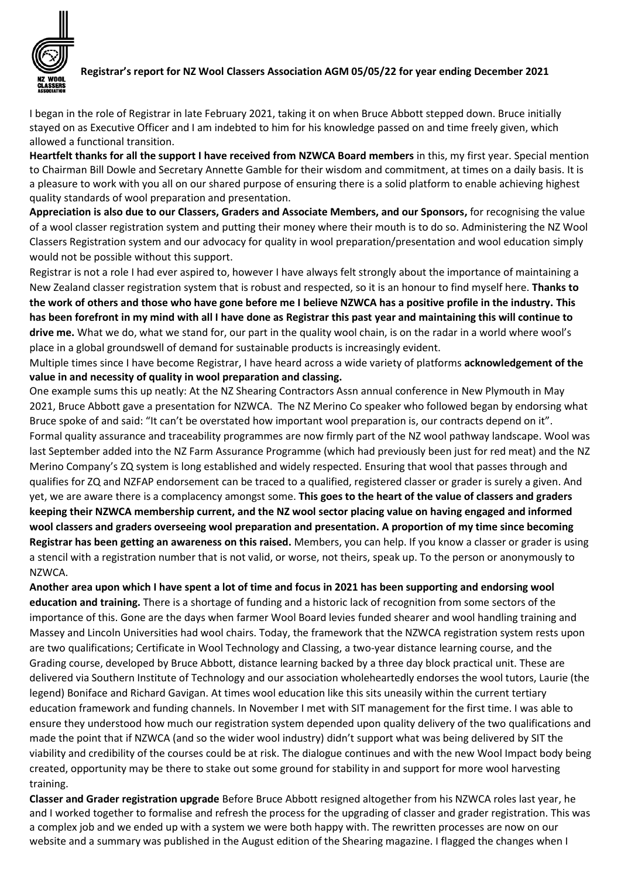

## **Registrar's report for NZ Wool Classers Association AGM 05/05/22 for year ending December 2021**

I began in the role of Registrar in late February 2021, taking it on when Bruce Abbott stepped down. Bruce initially stayed on as Executive Officer and I am indebted to him for his knowledge passed on and time freely given, which allowed a functional transition.

**Heartfelt thanks for all the support I have received from NZWCA Board members** in this, my first year. Special mention to Chairman Bill Dowle and Secretary Annette Gamble for their wisdom and commitment, at times on a daily basis. It is a pleasure to work with you all on our shared purpose of ensuring there is a solid platform to enable achieving highest quality standards of wool preparation and presentation.

**Appreciation is also due to our Classers, Graders and Associate Members, and our Sponsors,** for recognising the value of a wool classer registration system and putting their money where their mouth is to do so. Administering the NZ Wool Classers Registration system and our advocacy for quality in wool preparation/presentation and wool education simply would not be possible without this support.

Registrar is not a role I had ever aspired to, however I have always felt strongly about the importance of maintaining a New Zealand classer registration system that is robust and respected, so it is an honour to find myself here. **Thanks to the work of others and those who have gone before me I believe NZWCA has a positive profile in the industry. This has been forefront in my mind with all I have done as Registrar this past year and maintaining this will continue to drive me.** What we do, what we stand for, our part in the quality wool chain, is on the radar in a world where wool's place in a global groundswell of demand for sustainable products is increasingly evident.

Multiple times since I have become Registrar, I have heard across a wide variety of platforms **acknowledgement of the value in and necessity of quality in wool preparation and classing.**

One example sums this up neatly: At the NZ Shearing Contractors Assn annual conference in New Plymouth in May 2021, Bruce Abbott gave a presentation for NZWCA. The NZ Merino Co speaker who followed began by endorsing what Bruce spoke of and said: "It can't be overstated how important wool preparation is, our contracts depend on it". Formal quality assurance and traceability programmes are now firmly part of the NZ wool pathway landscape. Wool was last September added into the NZ Farm Assurance Programme (which had previously been just for red meat) and the NZ Merino Company's ZQ system is long established and widely respected. Ensuring that wool that passes through and qualifies for ZQ and NZFAP endorsement can be traced to a qualified, registered classer or grader is surely a given. And yet, we are aware there is a complacency amongst some. **This goes to the heart of the value of classers and graders keeping their NZWCA membership current, and the NZ wool sector placing value on having engaged and informed wool classers and graders overseeing wool preparation and presentation. A proportion of my time since becoming Registrar has been getting an awareness on this raised.** Members, you can help. If you know a classer or grader is using a stencil with a registration number that is not valid, or worse, not theirs, speak up. To the person or anonymously to NZWCA.

**Another area upon which I have spent a lot of time and focus in 2021 has been supporting and endorsing wool education and training.** There is a shortage of funding and a historic lack of recognition from some sectors of the importance of this. Gone are the days when farmer Wool Board levies funded shearer and wool handling training and Massey and Lincoln Universities had wool chairs. Today, the framework that the NZWCA registration system rests upon are two qualifications; Certificate in Wool Technology and Classing, a two-year distance learning course, and the Grading course, developed by Bruce Abbott, distance learning backed by a three day block practical unit. These are delivered via Southern Institute of Technology and our association wholeheartedly endorses the wool tutors, Laurie (the legend) Boniface and Richard Gavigan. At times wool education like this sits uneasily within the current tertiary education framework and funding channels. In November I met with SIT management for the first time. I was able to ensure they understood how much our registration system depended upon quality delivery of the two qualifications and made the point that if NZWCA (and so the wider wool industry) didn't support what was being delivered by SIT the viability and credibility of the courses could be at risk. The dialogue continues and with the new Wool Impact body being created, opportunity may be there to stake out some ground for stability in and support for more wool harvesting training.

**Classer and Grader registration upgrade** Before Bruce Abbott resigned altogether from his NZWCA roles last year, he and I worked together to formalise and refresh the process for the upgrading of classer and grader registration. This was a complex job and we ended up with a system we were both happy with. The rewritten processes are now on our website and a summary was published in the August edition of the Shearing magazine. I flagged the changes when I